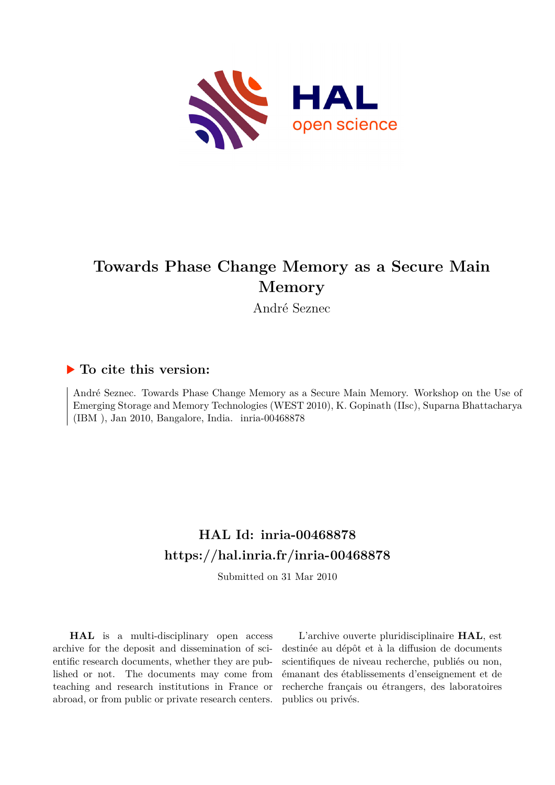

# **Towards Phase Change Memory as a Secure Main Memory**

André Seznec

## **To cite this version:**

André Seznec. Towards Phase Change Memory as a Secure Main Memory. Workshop on the Use of Emerging Storage and Memory Technologies (WEST 2010), K. Gopinath (IIsc), Suparna Bhattacharya  $(IBM)$ , Jan 2010, Bangalore, India. inria-00468878

## **HAL Id: inria-00468878 <https://hal.inria.fr/inria-00468878>**

Submitted on 31 Mar 2010

**HAL** is a multi-disciplinary open access archive for the deposit and dissemination of scientific research documents, whether they are published or not. The documents may come from teaching and research institutions in France or abroad, or from public or private research centers.

L'archive ouverte pluridisciplinaire **HAL**, est destinée au dépôt et à la diffusion de documents scientifiques de niveau recherche, publiés ou non, émanant des établissements d'enseignement et de recherche français ou étrangers, des laboratoires publics ou privés.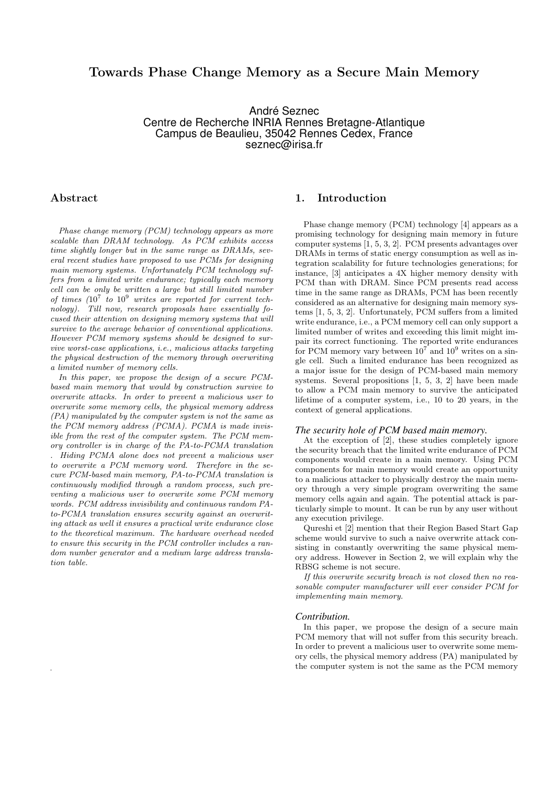## Towards Phase Change Memory as a Secure Main Memory

André Seznec Centre de Recherche INRIA Rennes Bretagne-Atlantique Campus de Beaulieu, 35042 Rennes Cedex, France seznec@irisa.fr

## Abstract

.

*Phase change memory (PCM) technology appears as more scalable than DRAM technology. As PCM exhibits access time slightly longer but in the same range as DRAMs, several recent studies have proposed to use PCMs for designing main memory systems. Unfortunately PCM technology suffers from a limited write endurance; typically each memory cell can be only be written a large but still limited number of times (*10<sup>7</sup> *to* 10<sup>9</sup> *writes are reported for current technology). Till now, research proposals have essentially focused their attention on designing memory systems that will survive to the average behavior of conventional applications. However PCM memory systems should be designed to survive worst-case applications, i.e., malicious attacks targeting the physical destruction of the memory through overwriting a limited number of memory cells.*

*In this paper, we propose the design of a secure PCMbased main memory that would by construction survive to overwrite attacks. In order to prevent a malicious user to overwrite some memory cells, the physical memory address (PA) manipulated by the computer system is not the same as the PCM memory address (PCMA). PCMA is made invisible from the rest of the computer system. The PCM memory controller is in charge of the PA-to-PCMA translation . Hiding PCMA alone does not prevent a malicious user to overwrite a PCM memory word. Therefore in the secure PCM-based main memory, PA-to-PCMA translation is continuously modified through a random process, such preventing a malicious user to overwrite some PCM memory words. PCM address invisibility and continuous random PAto-PCMA translation ensures security against an overwriting attack as well it ensures a practical write endurance close to the theoretical maximum. The hardware overhead needed to ensure this security in the PCM controller includes a random number generator and a medium large address translation table.*

## 1. Introduction

Phase change memory (PCM) technology [4] appears as a promising technology for designing main memory in future computer systems [1, 5, 3, 2]. PCM presents advantages over DRAMs in terms of static energy consumption as well as integration scalability for future technologies generations; for instance, [3] anticipates a 4X higher memory density with PCM than with DRAM. Since PCM presents read access time in the same range as DRAMs, PCM has been recently considered as an alternative for designing main memory systems [1, 5, 3, 2]. Unfortunately, PCM suffers from a limited write endurance, i.e., a PCM memory cell can only support a limited number of writes and exceeding this limit might impair its correct functioning. The reported write endurances for PCM memory vary between  $10^7$  and  $10^9$  writes on a single cell. Such a limited endurance has been recognized as a major issue for the design of PCM-based main memory systems. Several propositions [1, 5, 3, 2] have been made to allow a PCM main memory to survive the anticipated lifetime of a computer system, i.e., 10 to 20 years, in the context of general applications.

#### *The security hole of PCM based main memory.*

At the exception of [2], these studies completely ignore the security breach that the limited write endurance of PCM components would create in a main memory. Using PCM components for main memory would create an opportunity to a malicious attacker to physically destroy the main memory through a very simple program overwriting the same memory cells again and again. The potential attack is particularly simple to mount. It can be run by any user without any execution privilege.

Qureshi et [2] mention that their Region Based Start Gap scheme would survive to such a naive overwrite attack consisting in constantly overwriting the same physical memory address. However in Section 2, we will explain why the RBSG scheme is not secure.

*If this overwrite security breach is not closed then no reasonable computer manufacturer will ever consider PCM for implementing main memory.*

#### *Contribution.*

In this paper, we propose the design of a secure main PCM memory that will not suffer from this security breach. In order to prevent a malicious user to overwrite some memory cells, the physical memory address (PA) manipulated by the computer system is not the same as the PCM memory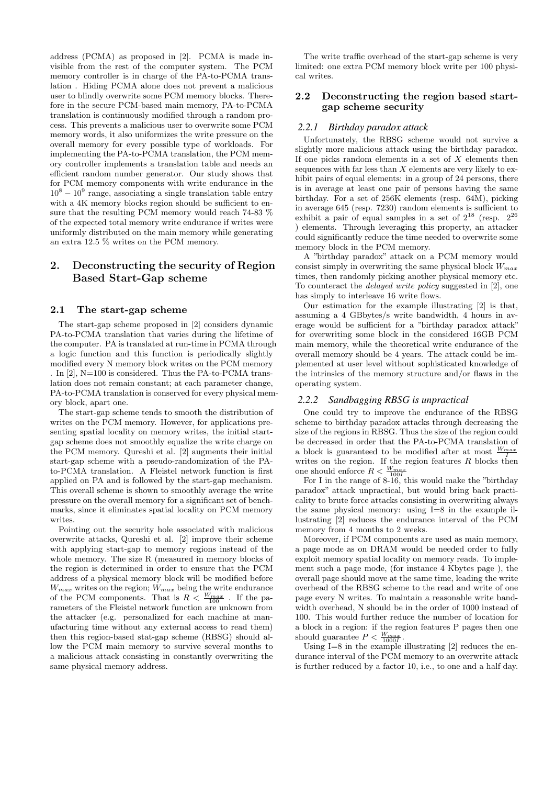address (PCMA) as proposed in [2]. PCMA is made invisible from the rest of the computer system. The PCM memory controller is in charge of the PA-to-PCMA translation . Hiding PCMA alone does not prevent a malicious user to blindly overwrite some PCM memory blocks. Therefore in the secure PCM-based main memory, PA-to-PCMA translation is continuously modified through a random process. This prevents a malicious user to overwrite some PCM memory words, it also uniformizes the write pressure on the overall memory for every possible type of workloads. For implementing the PA-to-PCMA translation, the PCM memory controller implements a translation table and needs an efficient random number generator. Our study shows that for PCM memory components with write endurance in the  $10^8 - 10^9$  range, associating a single translation table entry with a 4K memory blocks region should be sufficient to ensure that the resulting PCM memory would reach 74-83 % of the expected total memory write endurance if writes were uniformly distributed on the main memory while generating an extra 12.5 % writes on the PCM memory.

## 2. Deconstructing the security of Region Based Start-Gap scheme

#### 2.1 The start-gap scheme

The start-gap scheme proposed in [2] considers dynamic PA-to-PCMA translation that varies during the lifetime of the computer. PA is translated at run-time in PCMA through a logic function and this function is periodically slightly modified every N memory block writes on the PCM memory . In [2], N=100 is considered. Thus the PA-to-PCMA translation does not remain constant; at each parameter change, PA-to-PCMA translation is conserved for every physical memory block, apart one.

The start-gap scheme tends to smooth the distribution of writes on the PCM memory. However, for applications presenting spatial locality on memory writes, the initial startgap scheme does not smoothly equalize the write charge on the PCM memory. Qureshi et al. [2] augments their initial start-gap scheme with a pseudo-randomization of the PAto-PCMA translation. A Fleistel network function is first applied on PA and is followed by the start-gap mechanism. This overall scheme is shown to smoothly average the write pressure on the overall memory for a significant set of benchmarks, since it eliminates spatial locality on PCM memory writes.

Pointing out the security hole associated with malicious overwrite attacks, Qureshi et al. [2] improve their scheme with applying start-gap to memory regions instead of the whole memory. The size R (measured in memory blocks of the region is determined in order to ensure that the PCM address of a physical memory block will be modified before  $W_{max}$  writes on the region;  $W_{max}$  being the write endurance of the PCM components. That is  $R \leq \frac{W_{max}}{100}$ . If the parameters of the Fleistel network function are unknown from the attacker (e.g. personalized for each machine at manufacturing time without any external access to read them) then this region-based stat-gap scheme (RBSG) should allow the PCM main memory to survive several months to a malicious attack consisting in constantly overwriting the same physical memory address.

The write traffic overhead of the start-gap scheme is very limited: one extra PCM memory block write per 100 physical writes.

## 2.2 Deconstructing the region based startgap scheme security

## *2.2.1 Birthday paradox attack*

Unfortunately, the RBSG scheme would not survive a slightly more malicious attack using the birthday paradox. If one picks random elements in a set of  $X$  elements then sequences with far less than  $X$  elements are very likely to exhibit pairs of equal elements: in a group of 24 persons, there is in average at least one pair of persons having the same birthday. For a set of 256K elements (resp. 64M), picking in average 645 (resp. 7230) random elements is sufficient to exhibit a pair of equal samples in a set of  $2^{18}$  (resp.  $2^{26}$ ) elements. Through leveraging this property, an attacker could significantly reduce the time needed to overwrite some memory block in the PCM memory.

A "birthday paradox" attack on a PCM memory would consist simply in overwriting the same physical block  $W_{max}$ times, then randomly picking another physical memory etc. To counteract the *delayed write policy* suggested in [2], one has simply to interleave 16 write flows.

Our estimation for the example illustrating [2] is that, assuming a 4 GBbytes/s write bandwidth, 4 hours in average would be sufficient for a "birthday paradox attack" for overwriting some block in the considered 16GB PCM main memory, while the theoretical write endurance of the overall memory should be 4 years. The attack could be implemented at user level without sophisticated knowledge of the intrinsics of the memory structure and/or flaws in the operating system.

#### *2.2.2 Sandbagging RBSG is unpractical*

One could try to improve the endurance of the RBSG scheme to birthday paradox attacks through decreasing the size of the regions in RBSG. Thus the size of the region could be decreased in order that the PA-to-PCMA translation of a block is guaranteed to be modified after at most  $\frac{W_{max}}{I}$ writes on the region. If the region features  $R$  blocks then one should enforce  $R < \frac{W_{max}}{100I}$ 

For I in the range of 8-16, this would make the "birthday paradox" attack unpractical, but would bring back practicality to brute force attacks consisting in overwriting always the same physical memory: using I=8 in the example illustrating [2] reduces the endurance interval of the PCM memory from 4 months to 2 weeks.

Moreover, if PCM components are used as main memory, a page mode as on DRAM would be needed order to fully exploit memory spatial locality on memory reads. To implement such a page mode, (for instance 4 Kbytes page ), the overall page should move at the same time, leading the write overhead of the RBSG scheme to the read and write of one page every N writes. To maintain a reasonable write bandwidth overhead, N should be in the order of 1000 instead of 100. This would further reduce the number of location for a block in a region: if the region features P pages then one should guarantee  $P < \frac{W_{max}}{1000I}$ .

Using  $I=8$  in the example illustrating  $[2]$  reduces the endurance interval of the PCM memory to an overwrite attack is further reduced by a factor 10, i.e., to one and a half day.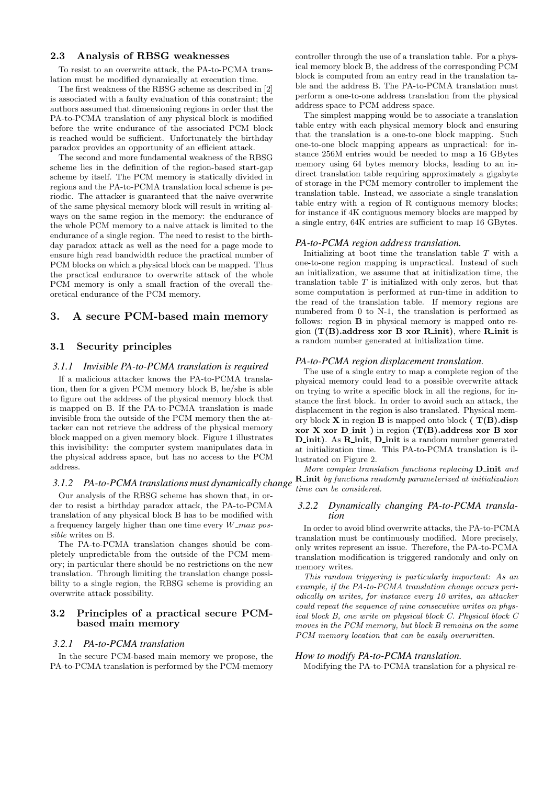## 2.3 Analysis of RBSG weaknesses

To resist to an overwrite attack, the PA-to-PCMA translation must be modified dynamically at execution time.

The first weakness of the RBSG scheme as described in [2] is associated with a faulty evaluation of this constraint; the authors assumed that dimensioning regions in order that the PA-to-PCMA translation of any physical block is modified before the write endurance of the associated PCM block is reached would be sufficient. Unfortunately the birthday paradox provides an opportunity of an efficient attack.

The second and more fundamental weakness of the RBSG scheme lies in the definition of the region-based start-gap scheme by itself. The PCM memory is statically divided in regions and the PA-to-PCMA translation local scheme is periodic. The attacker is guaranteed that the naive overwrite of the same physical memory block will result in writing always on the same region in the memory: the endurance of the whole PCM memory to a naive attack is limited to the endurance of a single region. The need to resist to the birthday paradox attack as well as the need for a page mode to ensure high read bandwidth reduce the practical number of PCM blocks on which a physical block can be mapped. Thus the practical endurance to overwrite attack of the whole PCM memory is only a small fraction of the overall theoretical endurance of the PCM memory.

## 3. A secure PCM-based main memory

## 3.1 Security principles

## *3.1.1 Invisible PA-to-PCMA translation is required*

If a malicious attacker knows the PA-to-PCMA translation, then for a given PCM memory block B, he/she is able to figure out the address of the physical memory block that is mapped on B. If the PA-to-PCMA translation is made invisible from the outside of the PCM memory then the attacker can not retrieve the address of the physical memory block mapped on a given memory block. Figure 1 illustrates this invisibility: the computer system manipulates data in the physical address space, but has no access to the PCM address.

#### *3.1.2 PA-to-PCMA translations must dynamically change*

Our analysis of the RBSG scheme has shown that, in order to resist a birthday paradox attack, the PA-to-PCMA translation of any physical block B has to be modified with a frequency largely higher than one time every  $W_{\perp}$  max pos*sible* writes on B.

The PA-to-PCMA translation changes should be completely unpredictable from the outside of the PCM memory; in particular there should be no restrictions on the new translation. Through limiting the translation change possibility to a single region, the RBSG scheme is providing an overwrite attack possibility.

### 3.2 Principles of a practical secure PCMbased main memory

#### *3.2.1 PA-to-PCMA translation*

In the secure PCM-based main memory we propose, the PA-to-PCMA translation is performed by the PCM-memory

controller through the use of a translation table. For a physical memory block B, the address of the corresponding PCM block is computed from an entry read in the translation table and the address B. The PA-to-PCMA translation must perform a one-to-one address translation from the physical address space to PCM address space.

The simplest mapping would be to associate a translation table entry with each physical memory block and ensuring that the translation is a one-to-one block mapping. Such one-to-one block mapping appears as unpractical: for instance 256M entries would be needed to map a 16 GBytes memory using 64 bytes memory blocks, leading to an indirect translation table requiring approximately a gigabyte of storage in the PCM memory controller to implement the translation table. Instead, we associate a single translation table entry with a region of R contiguous memory blocks; for instance if 4K contiguous memory blocks are mapped by a single entry, 64K entries are sufficient to map 16 GBytes.

#### *PA-to-PCMA region address translation.*

Initializing at boot time the translation table  $T$  with a one-to-one region mapping is unpractical. Instead of such an initialization, we assume that at initialization time, the translation table  $T$  is initialized with only zeros, but that some computation is performed at run-time in addition to the read of the translation table. If memory regions are numbered from 0 to N-1, the translation is performed as follows: region B in physical memory is mapped onto region  $(T(B).<sub>address</sub> xor B xor R*init*), where R*init* is$ a random number generated at initialization time.

#### *PA-to-PCMA region displacement translation.*

The use of a single entry to map a complete region of the physical memory could lead to a possible overwrite attack on trying to write a specific block in all the regions, for instance the first block. In order to avoid such an attack, the displacement in the region is also translated. Physical memory block  $X$  in region  $B$  is mapped onto block  $(T(B).disp)$ xor X xor D\_init ) in region  $(T(B).<sub>address</sub> xor B xor)$ D<sub>init</sub>). As **R**<sub>init</sub>, **D**<sub>init</sub> is a random number generated at initialization time. This PA-to-PCMA translation is illustrated on Figure 2.

*More complex translation functions replacing* **D\_init** and R init *by functions randomly parameterized at initialization time can be considered.*

## *3.2.2 Dynamically changing PA-to-PCMA translation*

In order to avoid blind overwrite attacks, the PA-to-PCMA translation must be continuously modified. More precisely, only writes represent an issue. Therefore, the PA-to-PCMA translation modification is triggered randomly and only on memory writes.

*This random triggering is particularly important: As an example, if the PA-to-PCMA translation change occurs periodically on writes, for instance every 10 writes, an attacker could repeat the sequence of nine consecutive writes on physical block B, one write on physical block C. Physical block C moves in the PCM memory, but block B remains on the same PCM memory location that can be easily overwritten.*

#### *How to modify PA-to-PCMA translation.*

Modifying the PA-to-PCMA translation for a physical re-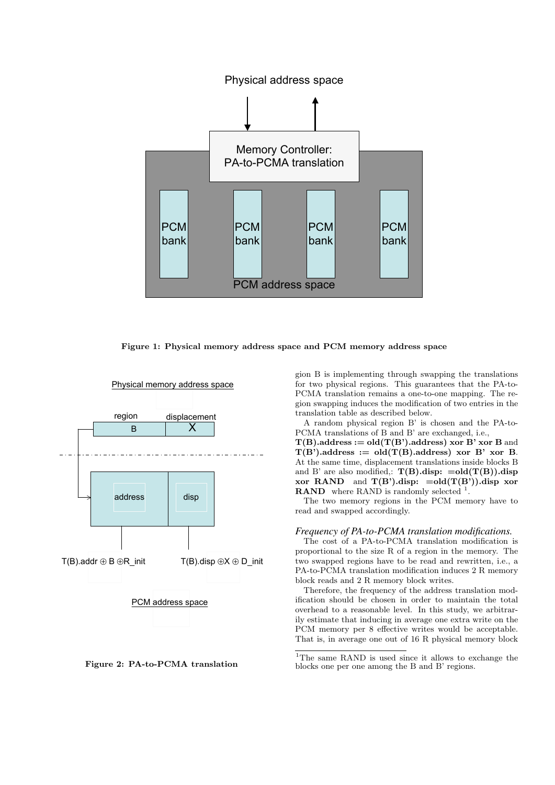

Figure 1: Physical memory address space and PCM memory address space



Figure 2: PA-to-PCMA translation

gion B is implementing through swapping the translations for two physical regions. This guarantees that the PA-to-PCMA translation remains a one-to-one mapping. The region swapping induces the modification of two entries in the translation table as described below.

A random physical region B' is chosen and the PA-to-PCMA translations of B and B' are exchanged, i.e.,

 $T(B)$ .address := old $(T(B))$ .address) xor B' xor B and  $T(B')$ .address := old $(T(B))$ .address) xor B' xor B. At the same time, displacement translations inside blocks B and B' are also modified,:  $T(B).disp: =old(T(B)).disp$ xor RAND and  $T(B')$ .disp:  $=old(T(B'))$ .disp xor **RAND** where RAND is randomly selected  $\frac{1}{1}$ .

The two memory regions in the PCM memory have to read and swapped accordingly.

#### *Frequency of PA-to-PCMA translation modifications.*

The cost of a PA-to-PCMA translation modification is proportional to the size R of a region in the memory. The two swapped regions have to be read and rewritten, i.e., a PA-to-PCMA translation modification induces 2 R memory block reads and 2 R memory block writes.

Therefore, the frequency of the address translation modification should be chosen in order to maintain the total overhead to a reasonable level. In this study, we arbitrarily estimate that inducing in average one extra write on the PCM memory per 8 effective writes would be acceptable. That is, in average one out of 16 R physical memory block

<sup>1</sup>The same RAND is used since it allows to exchange the blocks one per one among the B and B' regions.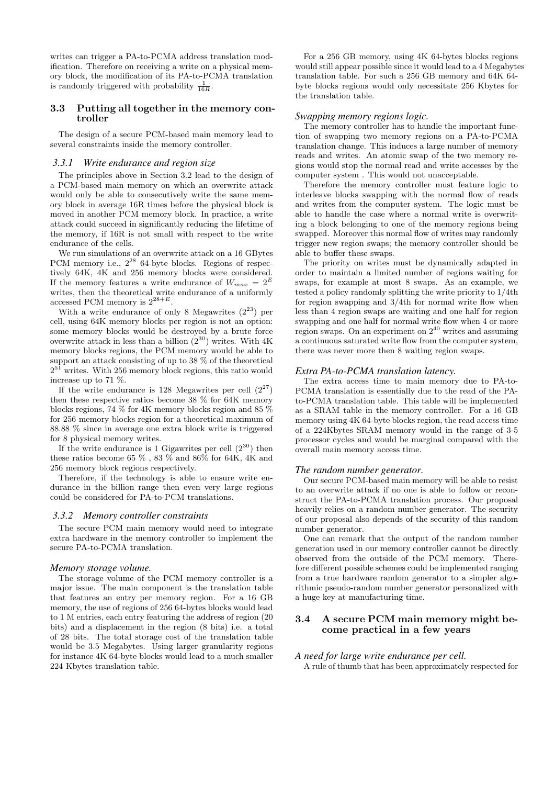writes can trigger a PA-to-PCMA address translation modification. Therefore on receiving a write on a physical memory block, the modification of its PA-to-PCMA translation is randomly triggered with probability  $\frac{1}{16R}$ .

#### 3.3 Putting all together in the memory controller

The design of a secure PCM-based main memory lead to several constraints inside the memory controller.

#### *3.3.1 Write endurance and region size*

The principles above in Section 3.2 lead to the design of a PCM-based main memory on which an overwrite attack would only be able to consecutively write the same memory block in average 16R times before the physical block is moved in another PCM memory block. In practice, a write attack could succeed in significantly reducing the lifetime of the memory, if 16R is not small with respect to the write endurance of the cells.

We run simulations of an overwrite attack on a 16 GBytes PCM memory i.e.,  $2^{28}$  64-byte blocks. Regions of respectively 64K, 4K and 256 memory blocks were considered. If the memory features a write endurance of  $W_{max} = 2^E$ writes, then the theoretical write endurance of a uniformly accessed PCM memory is  $2^{28+E}$ .

With a write endurance of only 8 Megawrites  $(2^{23})$  per cell, using 64K memory blocks per region is not an option: some memory blocks would be destroyed by a brute force overwrite attack in less than a billion  $(2^{30})$  writes. With 4K memory blocks regions, the PCM memory would be able to support an attack consisting of up to 38 % of the theoretical  $2^{51}$  writes. With 256 memory block regions, this ratio would increase up to 71 %.

If the write endurance is 128 Megawrites per cell  $(2^{27})$ then these respective ratios become 38 % for 64K memory blocks regions, 74 % for 4K memory blocks region and 85 % for 256 memory blocks region for a theoretical maximum of 88.88 % since in average one extra block write is triggered for 8 physical memory writes.

If the write endurance is 1 Gigawrites per cell  $(2^{30})$  then these ratios become 65 % , 83 % and 86% for 64K, 4K and 256 memory block regions respectively.

Therefore, if the technology is able to ensure write endurance in the billion range then even very large regions could be considered for PA-to-PCM translations.

#### *3.3.2 Memory controller constraints*

The secure PCM main memory would need to integrate extra hardware in the memory controller to implement the secure PA-to-PCMA translation.

#### *Memory storage volume.*

The storage volume of the PCM memory controller is a major issue. The main component is the translation table that features an entry per memory region. For a 16 GB memory, the use of regions of 256 64-bytes blocks would lead to 1 M entries, each entry featuring the address of region (20 bits) and a displacement in the region (8 bits) i.e. a total of 28 bits. The total storage cost of the translation table would be 3.5 Megabytes. Using larger granularity regions for instance 4K 64-byte blocks would lead to a much smaller 224 Kbytes translation table.

For a 256 GB memory, using 4K 64-bytes blocks regions would still appear possible since it would lead to a 4 Megabytes translation table. For such a 256 GB memory and 64K 64 byte blocks regions would only necessitate 256 Kbytes for the translation table.

#### *Swapping memory regions logic.*

The memory controller has to handle the important function of swapping two memory regions on a PA-to-PCMA translation change. This induces a large number of memory reads and writes. An atomic swap of the two memory regions would stop the normal read and write accesses by the computer system . This would not unacceptable.

Therefore the memory controller must feature logic to interleave blocks swapping with the normal flow of reads and writes from the computer system. The logic must be able to handle the case where a normal write is overwriting a block belonging to one of the memory regions being swapped. Moreover this normal flow of writes may randomly trigger new region swaps; the memory controller should be able to buffer these swaps.

The priority on writes must be dynamically adapted in order to maintain a limited number of regions waiting for swaps, for example at most 8 swaps. As an example, we tested a policy randomly splitting the write priority to 1/4th for region swapping and 3/4th for normal write flow when less than 4 region swaps are waiting and one half for region swapping and one half for normal write flow when 4 or more region swaps. On an experiment on  $2^{40}$  writes and assuming a continuous saturated write flow from the computer system, there was never more then 8 waiting region swaps.

#### *Extra PA-to-PCMA translation latency.*

The extra access time to main memory due to PA-to-PCMA translation is essentially due to the read of the PAto-PCMA translation table. This table will be implemented as a SRAM table in the memory controller. For a 16 GB memory using 4K 64-byte blocks region, the read access time of a 224Kbytes SRAM memory would in the range of 3-5 processor cycles and would be marginal compared with the overall main memory access time.

#### *The random number generator.*

Our secure PCM-based main memory will be able to resist to an overwrite attack if no one is able to follow or reconstruct the PA-to-PCMA translation process. Our proposal heavily relies on a random number generator. The security of our proposal also depends of the security of this random number generator.

One can remark that the output of the random number generation used in our memory controller cannot be directly observed from the outside of the PCM memory. Therefore different possible schemes could be implemented ranging from a true hardware random generator to a simpler algorithmic pseudo-random number generator personalized with a huge key at manufacturing time.

## 3.4 A secure PCM main memory might become practical in a few years

#### *A need for large write endurance per cell.*

A rule of thumb that has been approximately respected for